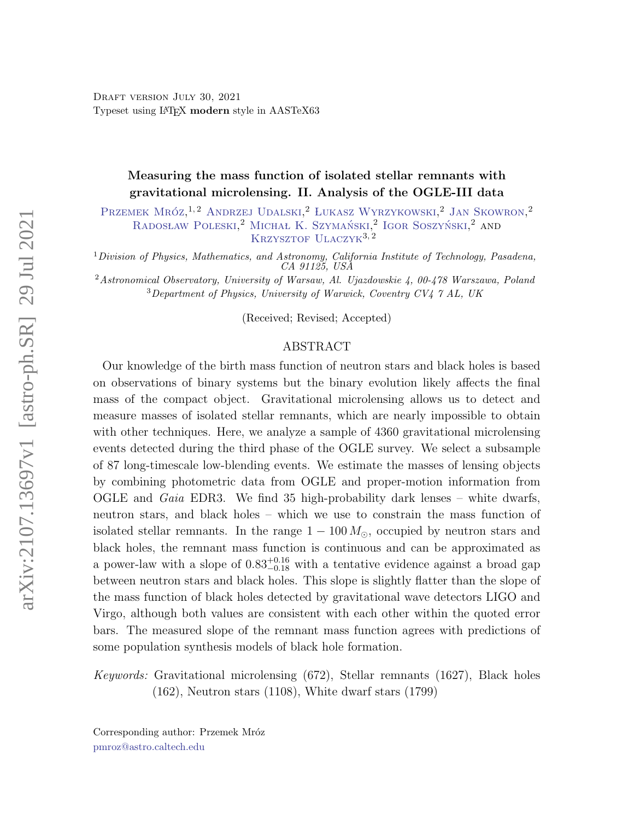[D](#page-0-0)RAFT VERSION JULY 30, 2021 Typeset using LATEX modern style in AASTeX63

# Measuring the mass function of isolated stellar remnants with gravitational microlensing. II. Analysis of the OGLE-III data

Przemek Mróz<sup>1,2</sup> [Andrzej Udalski,](http://orcid.org/0000-0001-5207-5619) <sup>2</sup> Łukasz Wyrzykowski, <sup>2</sup> [Jan Skowron,](http://orcid.org/0000-0002-2335-1730) <sup>2</sup> RADOSŁAW POLESKI,<sup>2</sup> MICHAŁ K. SZYMAŃSKI,<sup>2</sup> IGOR SOSZYŃSKI,<sup>2</sup> AND KRZYSZTOF ULACZYK<sup>3,2</sup>

<sup>1</sup>Division of Physics, Mathematics, and Astronomy, California Institute of Technology, Pasadena, CA 91125, USA

<sup>2</sup>Astronomical Observatory, University of Warsaw, Al. Ujazdowskie  $\mu$ , 00-478 Warszawa, Poland  $3$ Department of Physics, University of Warwick, Coventry CV4  $7$  AL, UK

(Received; Revised; Accepted)

# ABSTRACT

Our knowledge of the birth mass function of neutron stars and black holes is based on observations of binary systems but the binary evolution likely affects the final mass of the compact object. Gravitational microlensing allows us to detect and measure masses of isolated stellar remnants, which are nearly impossible to obtain with other techniques. Here, we analyze a sample of 4360 gravitational microlensing events detected during the third phase of the OGLE survey. We select a subsample of 87 long-timescale low-blending events. We estimate the masses of lensing objects by combining photometric data from OGLE and proper-motion information from OGLE and *Gaia* EDR3. We find 35 high-probability dark lenses – white dwarfs, neutron stars, and black holes – which we use to constrain the mass function of isolated stellar remnants. In the range  $1 - 100 M_{\odot}$ , occupied by neutron stars and black holes, the remnant mass function is continuous and can be approximated as a power-law with a slope of  $0.83_{-0.18}^{+0.16}$  with a tentative evidence against a broad gap between neutron stars and black holes. This slope is slightly flatter than the slope of the mass function of black holes detected by gravitational wave detectors LIGO and Virgo, although both values are consistent with each other within the quoted error bars. The measured slope of the remnant mass function agrees with predictions of some population synthesis models of black hole formation.

Keywords: Gravitational microlensing (672), Stellar remnants (1627), Black holes (162), Neutron stars (1108), White dwarf stars (1799)

<span id="page-0-1"></span><span id="page-0-0"></span>Corresponding author: Przemek Mróz [pmroz@astro.caltech.edu](mailto: pmroz@astro.caltech.edu)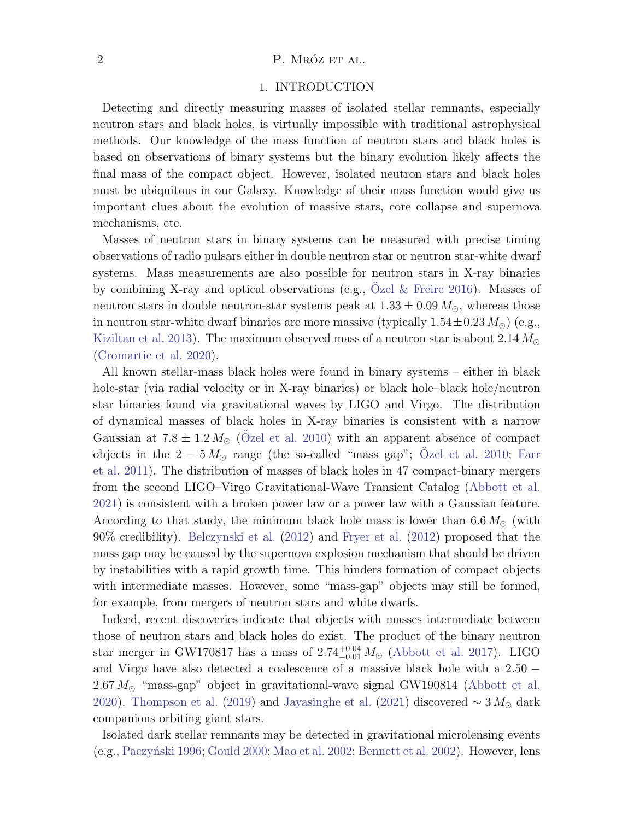# 2 P. MRÓZ ET AL.

#### 1. INTRODUCTION

Detecting and directly measuring masses of isolated stellar remnants, especially neutron stars and black holes, is virtually impossible with traditional astrophysical methods. Our knowledge of the mass function of neutron stars and black holes is based on observations of binary systems but the binary evolution likely affects the final mass of the compact object. However, isolated neutron stars and black holes must be ubiquitous in our Galaxy. Knowledge of their mass function would give us important clues about the evolution of massive stars, core collapse and supernova mechanisms, etc.

Masses of neutron stars in binary systems can be measured with precise timing observations of radio pulsars either in double neutron star or neutron star-white dwarf systems. Mass measurements are also possible for neutron stars in X-ray binaries by combining X-ray and optical observations (e.g., [Ozel & Freire](#page-12-0) [2016\)](#page-12-0). Masses of neutron stars in double neutron-star systems peak at  $1.33 \pm 0.09 M_{\odot}$ , whereas those in neutron star-white dwarf binaries are more massive (typically  $1.54 \pm 0.23 M_{\odot}$ ) (e.g., [Kiziltan et al.](#page-12-1) [2013\)](#page-12-1). The maximum observed mass of a neutron star is about  $2.14 M_{\odot}$ [\(Cromartie et al.](#page-11-0) [2020\)](#page-11-0).

All known stellar-mass black holes were found in binary systems – either in black hole-star (via radial velocity or in X-ray binaries) or black hole–black hole/neutron star binaries found via gravitational waves by LIGO and Virgo. The distribution of dynamical masses of black holes in X-ray binaries is consistent with a narrow Gaussian at  $7.8 \pm 1.2 M_{\odot}$  [\(Ozel et al.](#page-12-2) [2010\)](#page-12-2) with an apparent absence of compact objects in the  $2-5 M_{\odot}$  range (the so-called "mass gap"; [Ozel et al.](#page-12-2) [2010;](#page-12-2) [Farr](#page-11-1) [et al.](#page-11-1) [2011\)](#page-11-1). The distribution of masses of black holes in 47 compact-binary mergers from the second LIGO–Virgo Gravitational-Wave Transient Catalog [\(Abbott et al.](#page-11-2) [2021\)](#page-11-2) is consistent with a broken power law or a power law with a Gaussian feature. According to that study, the minimum black hole mass is lower than  $6.6 M_{\odot}$  (with 90% credibility). [Belczynski et al.](#page-11-3) [\(2012\)](#page-11-3) and [Fryer et al.](#page-11-4) [\(2012\)](#page-11-4) proposed that the mass gap may be caused by the supernova explosion mechanism that should be driven by instabilities with a rapid growth time. This hinders formation of compact objects with intermediate masses. However, some "mass-gap" objects may still be formed, for example, from mergers of neutron stars and white dwarfs.

Indeed, recent discoveries indicate that objects with masses intermediate between those of neutron stars and black holes do exist. The product of the binary neutron star merger in GW170817 has a mass of  $2.74_{-0.01}^{+0.04} M_{\odot}$  [\(Abbott et al.](#page-11-5) [2017\)](#page-11-5). LIGO and Virgo have also detected a coalescence of a massive black hole with a 2.50 −  $2.67 M_{\odot}$  "mass-gap" object in gravitational-wave signal GW190814 [\(Abbott et al.](#page-11-6) [2020\)](#page-11-6). [Thompson et al.](#page-12-3) [\(2019\)](#page-12-3) and [Jayasinghe et al.](#page-12-4) [\(2021\)](#page-12-4) discovered  $\sim 3 M_{\odot}$  dark companions orbiting giant stars.

Isolated dark stellar remnants may be detected in gravitational microlensing events (e.g., Paczyński [1996;](#page-12-5) [Gould](#page-11-7) [2000;](#page-11-7) [Mao et al.](#page-12-6) [2002;](#page-12-6) [Bennett et al.](#page-11-8) [2002\)](#page-11-8). However, lens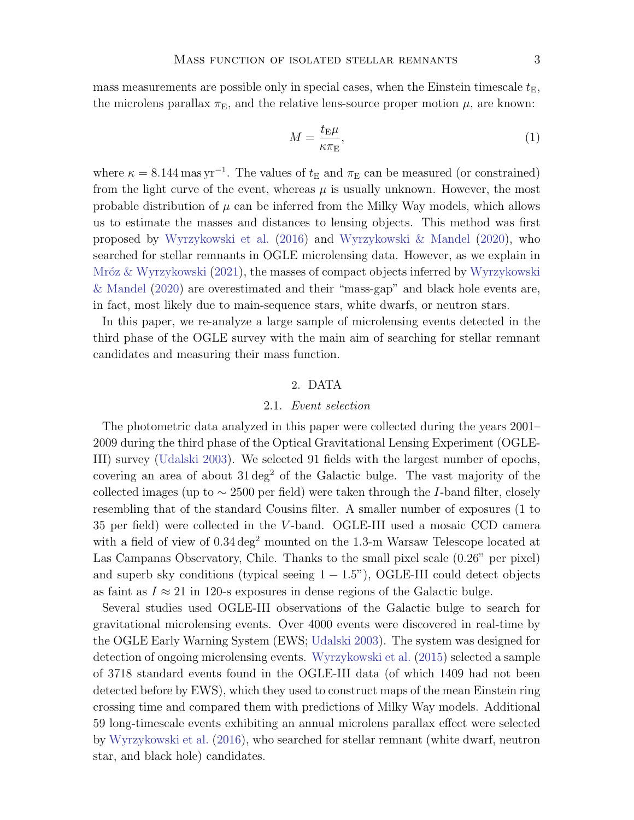mass measurements are possible only in special cases, when the Einstein timescale  $t_{\text{E}}$ , the microlens parallax  $\pi_{\rm E}$ , and the relative lens-source proper motion  $\mu$ , are known:

<span id="page-2-0"></span>
$$
M = \frac{t_{\rm E}\mu}{\kappa \pi_{\rm E}},\tag{1}
$$

where  $\kappa = 8.144 \,\mathrm{mas \,yr^{-1}}$ . The values of  $t_E$  and  $\pi_E$  can be measured (or constrained) from the light curve of the event, whereas  $\mu$  is usually unknown. However, the most probable distribution of  $\mu$  can be inferred from the Milky Way models, which allows us to estimate the masses and distances to lensing objects. This method was first proposed by [Wyrzykowski et al.](#page-12-7) [\(2016\)](#page-12-7) and [Wyrzykowski & Mandel](#page-12-8) [\(2020\)](#page-12-8), who searched for stellar remnants in OGLE microlensing data. However, as we explain in Mróz & Wyrzykowski [\(2021\)](#page-12-9), the masses of compact objects inferred by [Wyrzykowski](#page-12-8) [& Mandel](#page-12-8) [\(2020\)](#page-12-8) are overestimated and their "mass-gap" and black hole events are, in fact, most likely due to main-sequence stars, white dwarfs, or neutron stars.

In this paper, we re-analyze a large sample of microlensing events detected in the third phase of the OGLE survey with the main aim of searching for stellar remnant candidates and measuring their mass function.

#### 2. DATA

#### 2.1. Event selection

The photometric data analyzed in this paper were collected during the years 2001– 2009 during the third phase of the Optical Gravitational Lensing Experiment (OGLE-III) survey [\(Udalski](#page-12-10) [2003\)](#page-12-10). We selected 91 fields with the largest number of epochs, covering an area of about  $31 \text{ deg}^2$  of the Galactic bulge. The vast majority of the collected images (up to  $\sim$  2500 per field) were taken through the *I*-band filter, closely resembling that of the standard Cousins filter. A smaller number of exposures (1 to 35 per field) were collected in the V -band. OGLE-III used a mosaic CCD camera with a field of view of  $0.34 \text{ deg}^2$  mounted on the 1.3-m Warsaw Telescope located at Las Campanas Observatory, Chile. Thanks to the small pixel scale (0.26" per pixel) and superb sky conditions (typical seeing  $1 - 1.5$ "), OGLE-III could detect objects as faint as  $I \approx 21$  in 120-s exposures in dense regions of the Galactic bulge.

Several studies used OGLE-III observations of the Galactic bulge to search for gravitational microlensing events. Over 4000 events were discovered in real-time by the OGLE Early Warning System (EWS; [Udalski](#page-12-10) [2003\)](#page-12-10). The system was designed for detection of ongoing microlensing events. [Wyrzykowski et al.](#page-12-11) [\(2015\)](#page-12-11) selected a sample of 3718 standard events found in the OGLE-III data (of which 1409 had not been detected before by EWS), which they used to construct maps of the mean Einstein ring crossing time and compared them with predictions of Milky Way models. Additional 59 long-timescale events exhibiting an annual microlens parallax effect were selected by [Wyrzykowski et al.](#page-12-7) [\(2016\)](#page-12-7), who searched for stellar remnant (white dwarf, neutron star, and black hole) candidates.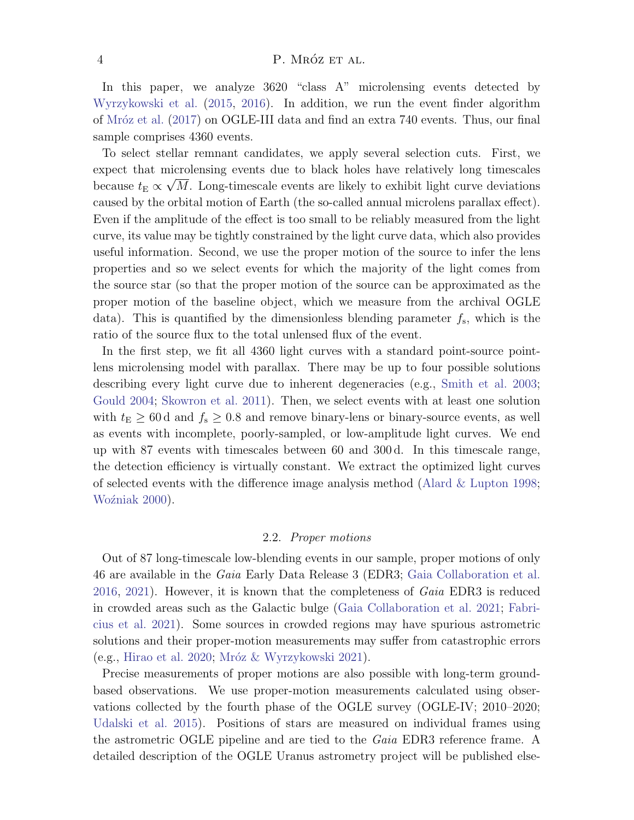#### $\mathbf{P. M}\mathbf{R}\mathbf{OZ}$  ET AL.

In this paper, we analyze  $3620$  "class A" microlensing events detected by [Wyrzykowski et al.](#page-12-11) [\(2015,](#page-12-11) [2016\)](#page-12-7). In addition, we run the event finder algorithm of [Mr´oz et al.](#page-12-12) [\(2017\)](#page-12-12) on OGLE-III data and find an extra 740 events. Thus, our final sample comprises 4360 events.

To select stellar remnant candidates, we apply several selection cuts. First, we expect that microlensing events due to black holes have relatively long timescales because  $t_{\text{E}} \propto \sqrt{M}$ . Long-timescale events are likely to exhibit light curve deviations caused by the orbital motion of Earth (the so-called annual microlens parallax effect). Even if the amplitude of the effect is too small to be reliably measured from the light curve, its value may be tightly constrained by the light curve data, which also provides useful information. Second, we use the proper motion of the source to infer the lens properties and so we select events for which the majority of the light comes from the source star (so that the proper motion of the source can be approximated as the proper motion of the baseline object, which we measure from the archival OGLE data). This is quantified by the dimensionless blending parameter  $f_s$ , which is the ratio of the source flux to the total unlensed flux of the event.

In the first step, we fit all 4360 light curves with a standard point-source pointlens microlensing model with parallax. There may be up to four possible solutions describing every light curve due to inherent degeneracies (e.g., [Smith et al.](#page-12-13) [2003;](#page-12-13) [Gould](#page-11-9) [2004;](#page-11-9) [Skowron et al.](#page-12-14) [2011\)](#page-12-14). Then, we select events with at least one solution with  $t_E \geq 60 d$  and  $f_s \geq 0.8$  and remove binary-lens or binary-source events, as well as events with incomplete, poorly-sampled, or low-amplitude light curves. We end up with 87 events with timescales between 60 and 300 d. In this timescale range, the detection efficiency is virtually constant. We extract the optimized light curves of selected events with the difference image analysis method (Alard  $&$  Lupton [1998;](#page-11-10) Woźniak [2000\)](#page-12-15).

#### 2.2. Proper motions

Out of 87 long-timescale low-blending events in our sample, proper motions of only 46 are available in the Gaia Early Data Release 3 (EDR3; [Gaia Collaboration et al.](#page-11-11) [2016,](#page-11-11) [2021\)](#page-11-12). However, it is known that the completeness of Gaia EDR3 is reduced in crowded areas such as the Galactic bulge [\(Gaia Collaboration et al.](#page-11-12) [2021;](#page-11-12) [Fabri](#page-11-13)[cius et al.](#page-11-13) [2021\)](#page-11-13). Some sources in crowded regions may have spurious astrometric solutions and their proper-motion measurements may suffer from catastrophic errors  $(e.g., Hirao et al. 2020; Mróz & Wyrzykowski 2021).$  $(e.g., Hirao et al. 2020; Mróz & Wyrzykowski 2021).$  $(e.g., Hirao et al. 2020; Mróz & Wyrzykowski 2021).$  $(e.g., Hirao et al. 2020; Mróz & Wyrzykowski 2021).$  $(e.g., Hirao et al. 2020; Mróz & Wyrzykowski 2021).$  $(e.g., Hirao et al. 2020; Mróz & Wyrzykowski 2021).$  $(e.g., Hirao et al. 2020; Mróz & Wyrzykowski 2021).$ 

Precise measurements of proper motions are also possible with long-term groundbased observations. We use proper-motion measurements calculated using observations collected by the fourth phase of the OGLE survey (OGLE-IV; 2010–2020; [Udalski et al.](#page-12-17) [2015\)](#page-12-17). Positions of stars are measured on individual frames using the astrometric OGLE pipeline and are tied to the *Gaia* EDR3 reference frame. A detailed description of the OGLE Uranus astrometry project will be published else-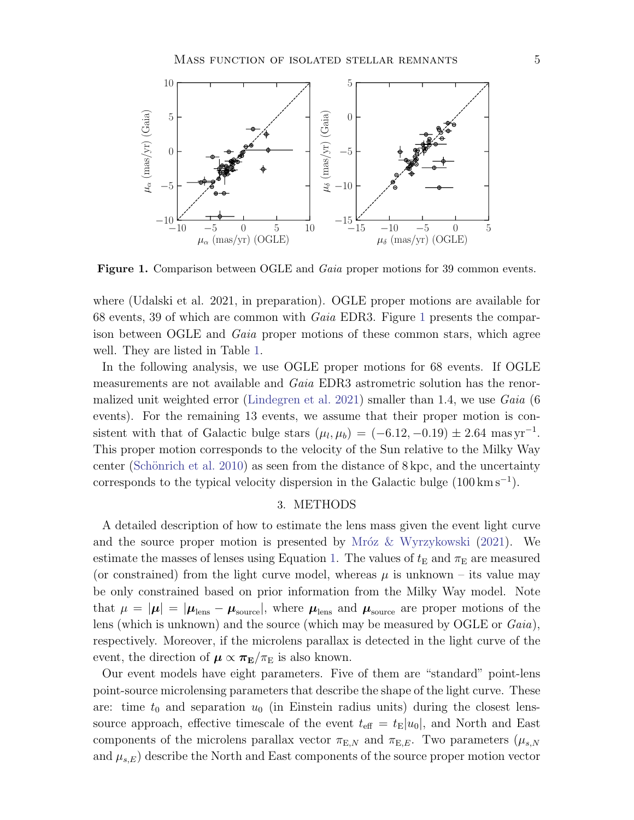

<span id="page-4-0"></span>Figure 1. Comparison between OGLE and *Gaia* proper motions for 39 common events.

where (Udalski et al. 2021, in preparation). OGLE proper motions are available for 68 events, 39 of which are common with Gaia EDR3. Figure [1](#page-4-0) presents the comparison between OGLE and Gaia proper motions of these common stars, which agree well. They are listed in Table [1.](#page-13-0)

In the following analysis, we use OGLE proper motions for 68 events. If OGLE measurements are not available and Gaia EDR3 astrometric solution has the renor-malized unit weighted error [\(Lindegren et al.](#page-12-18) [2021\)](#page-12-18) smaller than 1.4, we use  $Gaia$  (6) events). For the remaining 13 events, we assume that their proper motion is consistent with that of Galactic bulge stars  $(\mu_l, \mu_b) = (-6.12, -0.19) \pm 2.64$  mas yr<sup>-1</sup>. This proper motion corresponds to the velocity of the Sun relative to the Milky Way center (Schönrich et al. [2010\)](#page-12-19) as seen from the distance of  $8 \text{ kpc}$ , and the uncertainty corresponds to the typical velocity dispersion in the Galactic bulge  $(100 \text{ km s}^{-1})$ .

#### 3. METHODS

A detailed description of how to estimate the lens mass given the event light curve and the source proper motion is presented by Mróz  $&\text{Wyrzykowski}$  [\(2021\)](#page-12-9). We estimate the masses of lenses using Equation [1.](#page-2-0) The values of  $t<sub>E</sub>$  and  $\pi<sub>E</sub>$  are measured (or constrained) from the light curve model, whereas  $\mu$  is unknown – its value may be only constrained based on prior information from the Milky Way model. Note that  $\mu = |\mu| = |\mu_{\text{lens}} - \mu_{\text{source}}|$ , where  $\mu_{\text{lens}}$  and  $\mu_{\text{source}}$  are proper motions of the lens (which is unknown) and the source (which may be measured by OGLE or  $Gaia$ ), respectively. Moreover, if the microlens parallax is detected in the light curve of the event, the direction of  $\mu \propto \pi_{\rm E}/\pi_{\rm E}$  is also known.

Our event models have eight parameters. Five of them are "standard" point-lens point-source microlensing parameters that describe the shape of the light curve. These are: time  $t_0$  and separation  $u_0$  (in Einstein radius units) during the closest lenssource approach, effective timescale of the event  $t_{\text{eff}} = t_{\text{E}}|u_0|$ , and North and East components of the microlens parallax vector  $\pi_{E,N}$  and  $\pi_{E,E}$ . Two parameters  $(\mu_{s,N})$ and  $\mu_{s,E}$ ) describe the North and East components of the source proper motion vector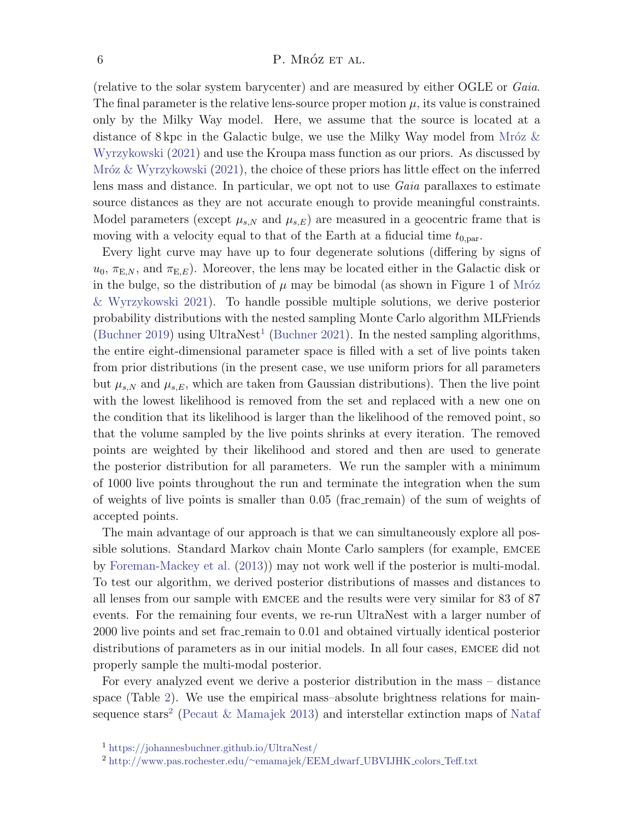#### $\mathbf{P.} \text{ MRÓZ ET AL}.$

(relative to the solar system barycenter) and are measured by either OGLE or Gaia. The final parameter is the relative lens-source proper motion  $\mu$ , its value is constrained only by the Milky Way model. Here, we assume that the source is located at a distance of 8 kpc in the Galactic bulge, we use the Milky Way model from Mróz  $\&$ [Wyrzykowski](#page-12-9) [\(2021\)](#page-12-9) and use the Kroupa mass function as our priors. As discussed by Mróz  $&$  Wyrzykowski  $(2021)$ , the choice of these priors has little effect on the inferred lens mass and distance. In particular, we opt not to use Gaia parallaxes to estimate source distances as they are not accurate enough to provide meaningful constraints. Model parameters (except  $\mu_{s,N}$  and  $\mu_{s,E}$ ) are measured in a geocentric frame that is moving with a velocity equal to that of the Earth at a fiducial time  $t_{0,\text{par}}$ .

Every light curve may have up to four degenerate solutions (differing by signs of  $u_0, \pi_{E,N}$ , and  $\pi_{E,E}$ ). Moreover, the lens may be located either in the Galactic disk or in the bulge, so the distribution of  $\mu$  may be bimodal (as shown in Figure 1 of Mróz [& Wyrzykowski](#page-12-9) [2021\)](#page-12-9). To handle possible multiple solutions, we derive posterior probability distributions with the nested sampling Monte Carlo algorithm MLFriends [\(Buchner](#page-11-15) [2019\)](#page-11-14) using UltraNest<sup>[1](#page-5-0)</sup> (Buchner [2021\)](#page-11-15). In the nested sampling algorithms, the entire eight-dimensional parameter space is filled with a set of live points taken from prior distributions (in the present case, we use uniform priors for all parameters but  $\mu_{s,N}$  and  $\mu_{s,E}$ , which are taken from Gaussian distributions). Then the live point with the lowest likelihood is removed from the set and replaced with a new one on the condition that its likelihood is larger than the likelihood of the removed point, so that the volume sampled by the live points shrinks at every iteration. The removed points are weighted by their likelihood and stored and then are used to generate the posterior distribution for all parameters. We run the sampler with a minimum of 1000 live points throughout the run and terminate the integration when the sum of weights of live points is smaller than 0.05 (frac remain) of the sum of weights of accepted points.

The main advantage of our approach is that we can simultaneously explore all possible solutions. Standard Markov chain Monte Carlo samplers (for example, emcee by [Foreman-Mackey et al.](#page-11-16) [\(2013\)](#page-11-16)) may not work well if the posterior is multi-modal. To test our algorithm, we derived posterior distributions of masses and distances to all lenses from our sample with emcee and the results were very similar for 83 of 87 events. For the remaining four events, we re-run UltraNest with a larger number of 2000 live points and set frac remain to 0.01 and obtained virtually identical posterior distributions of parameters as in our initial models. In all four cases, EMCEE did not properly sample the multi-modal posterior.

For every analyzed event we derive a posterior distribution in the mass – distance space (Table [2\)](#page-14-0). We use the empirical mass–absolute brightness relations for main-sequence stars<sup>[2](#page-5-1)</sup> [\(Pecaut & Mamajek](#page-12-20) [2013\)](#page-12-20) and interstellar extinction maps of [Nataf](#page-12-21)

<span id="page-5-0"></span><sup>1</sup> [https://johannesbuchner.github.io/UltraNest/](#page-12-21)

<span id="page-5-1"></span><sup>2</sup> [http://www.pas.rochester.edu/](#page-12-21)∼emamajek/EEM dwarf UBVIJHK colors Teff.txt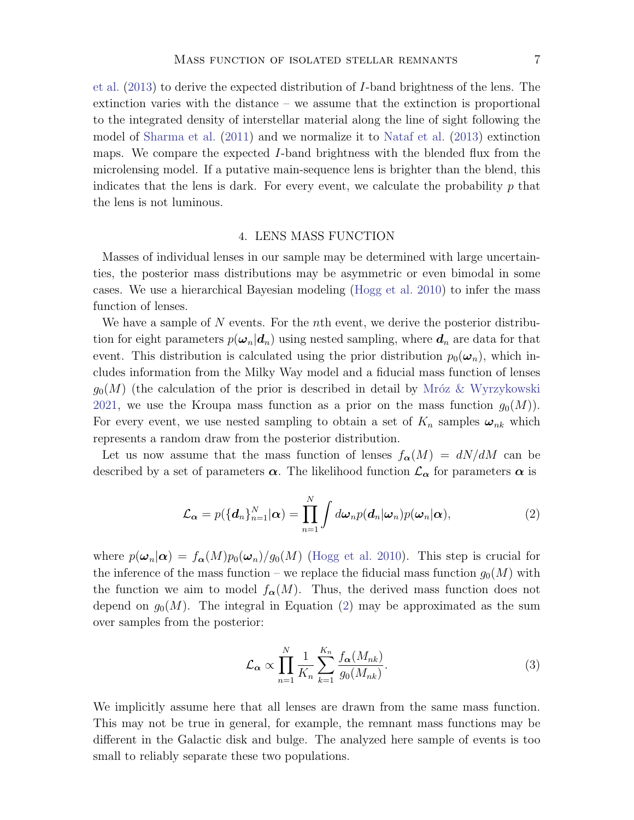[et al.](#page-12-21) [\(2013\)](#page-12-21) to derive the expected distribution of I-band brightness of the lens. The extinction varies with the distance – we assume that the extinction is proportional to the integrated density of interstellar material along the line of sight following the model of [Sharma et al.](#page-12-22) [\(2011\)](#page-12-22) and we normalize it to [Nataf et al.](#page-12-21) [\(2013\)](#page-12-21) extinction maps. We compare the expected I-band brightness with the blended flux from the microlensing model. If a putative main-sequence lens is brighter than the blend, this indicates that the lens is dark. For every event, we calculate the probability  $p$  that the lens is not luminous.

# 4. LENS MASS FUNCTION

Masses of individual lenses in our sample may be determined with large uncertainties, the posterior mass distributions may be asymmetric or even bimodal in some cases. We use a hierarchical Bayesian modeling [\(Hogg et al.](#page-12-23) [2010\)](#page-12-23) to infer the mass function of lenses.

We have a sample of  $N$  events. For the *n*th event, we derive the posterior distribution for eight parameters  $p(\omega_n|\boldsymbol{d}_n)$  using nested sampling, where  $\boldsymbol{d}_n$  are data for that event. This distribution is calculated using the prior distribution  $p_0(\omega_n)$ , which includes information from the Milky Way model and a fiducial mass function of lenses  $g_0(M)$  (the calculation of the prior is described in detail by Mróz & Wyrzykowski [2021,](#page-12-9) we use the Kroupa mass function as a prior on the mass function  $g_0(M)$ . For every event, we use nested sampling to obtain a set of  $K_n$  samples  $\omega_{nk}$  which represents a random draw from the posterior distribution.

Let us now assume that the mass function of lenses  $f_{\alpha}(M) = dN/dM$  can be described by a set of parameters  $\alpha$ . The likelihood function  $\mathcal{L}_{\alpha}$  for parameters  $\alpha$  is

$$
\mathcal{L}_{\alpha} = p(\{\boldsymbol{d}_{n}\}_{n=1}^{N}|\boldsymbol{\alpha}) = \prod_{n=1}^{N} \int d\boldsymbol{\omega}_{n} p(\boldsymbol{d}_{n}|\boldsymbol{\omega}_{n}) p(\boldsymbol{\omega}_{n}|\boldsymbol{\alpha}), \qquad (2)
$$

where  $p(\omega_n|\alpha) = f_\alpha(M)p_0(\omega_n)/g_0(M)$  [\(Hogg et al.](#page-12-23) [2010\)](#page-12-23). This step is crucial for the inference of the mass function – we replace the fiducial mass function  $g_0(M)$  with the function we aim to model  $f_{\alpha}(M)$ . Thus, the derived mass function does not depend on  $g_0(M)$ . The integral in Equation [\(2\)](#page-6-0) may be approximated as the sum over samples from the posterior:

<span id="page-6-0"></span>
$$
\mathcal{L}_{\alpha} \propto \prod_{n=1}^{N} \frac{1}{K_n} \sum_{k=1}^{K_n} \frac{f_{\alpha}(M_{nk})}{g_0(M_{nk})}.
$$
\n(3)

We implicitly assume here that all lenses are drawn from the same mass function. This may not be true in general, for example, the remnant mass functions may be different in the Galactic disk and bulge. The analyzed here sample of events is too small to reliably separate these two populations.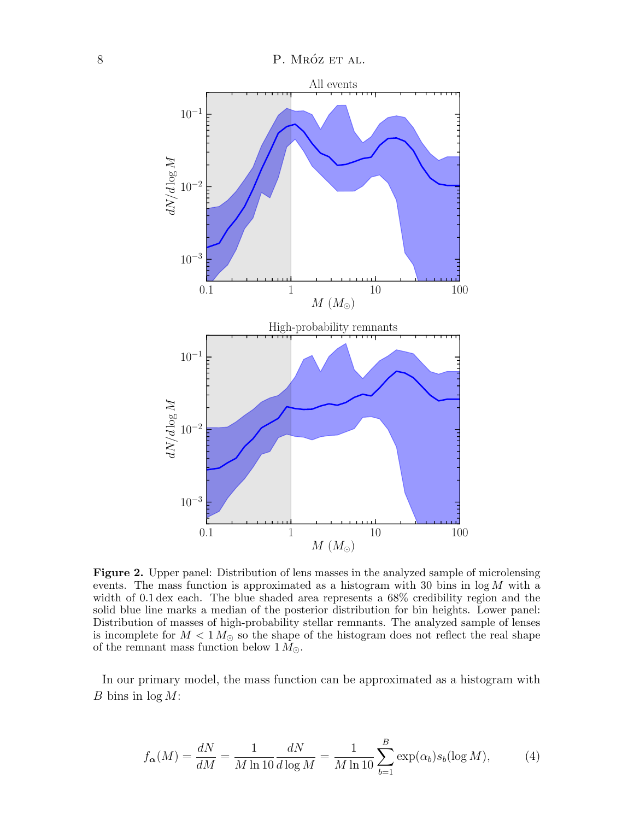

<span id="page-7-0"></span>**Figure 2.** Upper panel: Distribution of lens masses in the analyzed sample of microlensing events. The mass function is approximated as a histogram with 30 bins in  $log M$  with a width of 0.1 dex each. The blue shaded area represents a 68% credibility region and the solid blue line marks a median of the posterior distribution for bin heights. Lower panel: Distribution of masses of high-probability stellar remnants. The analyzed sample of lenses is incomplete for  $M < 1 M_{\odot}$  so the shape of the histogram does not reflect the real shape of the remnant mass function below  $1 M_{\odot}$ .

In our primary model, the mass function can be approximated as a histogram with B bins in  $log M$ :

$$
f_{\alpha}(M) = \frac{dN}{dM} = \frac{1}{M \ln 10} \frac{dN}{d \log M} = \frac{1}{M \ln 10} \sum_{b=1}^{B} \exp(\alpha_b) s_b(\log M),\tag{4}
$$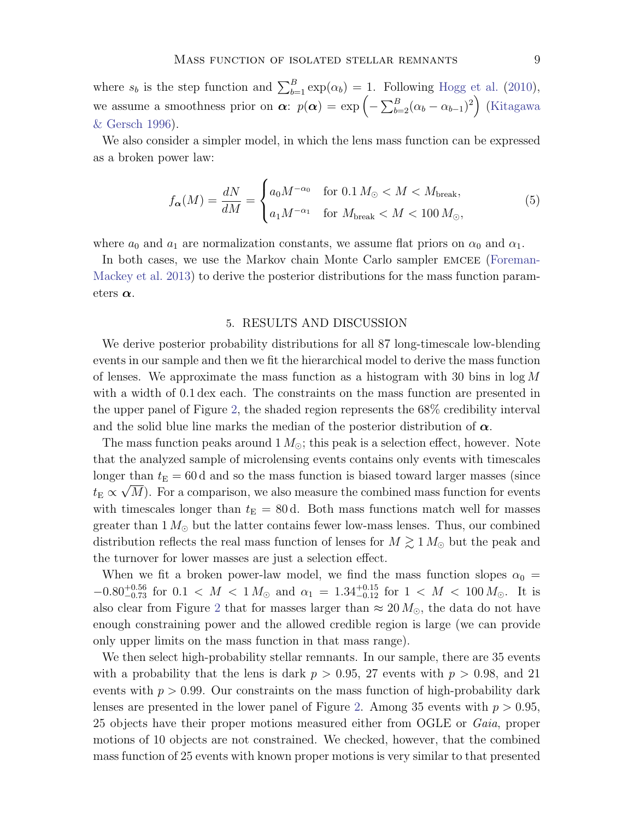where  $s_b$  is the step function and  $\sum_{b=1}^{B} \exp(\alpha_b) = 1$ . Following [Hogg et al.](#page-12-23) [\(2010\)](#page-12-23), we assume a smoothness prior on  $\alpha$ :  $p(\alpha) = \exp\left(-\sum_{b=2}^{B} (\alpha_b - \alpha_{b-1})^2\right)$  [\(Kitagawa](#page-12-24) [& Gersch](#page-12-24) [1996\)](#page-12-24).

We also consider a simpler model, in which the lens mass function can be expressed as a broken power law:

$$
f_{\alpha}(M) = \frac{dN}{dM} = \begin{cases} a_0 M^{-\alpha_0} & \text{for } 0.1 \, M_{\odot} < M < M_{\text{break}}, \\ a_1 M^{-\alpha_1} & \text{for } M_{\text{break}} < M < 100 \, M_{\odot}, \end{cases} \tag{5}
$$

where  $a_0$  and  $a_1$  are normalization constants, we assume flat priors on  $\alpha_0$  and  $\alpha_1$ .

In both cases, we use the Markov chain Monte Carlo sampler EMCEE [\(Foreman-](#page-11-16)[Mackey et al.](#page-11-16) [2013\)](#page-11-16) to derive the posterior distributions for the mass function parameters  $\alpha$ .

#### 5. RESULTS AND DISCUSSION

We derive posterior probability distributions for all 87 long-timescale low-blending events in our sample and then we fit the hierarchical model to derive the mass function of lenses. We approximate the mass function as a histogram with 30 bins in  $\log M$ with a width of 0.1 dex each. The constraints on the mass function are presented in the upper panel of Figure [2,](#page-7-0) the shaded region represents the 68% credibility interval and the solid blue line marks the median of the posterior distribution of  $\alpha$ .

The mass function peaks around  $1 M_{\odot}$ ; this peak is a selection effect, however. Note that the analyzed sample of microlensing events contains only events with timescales longer than  $t_{\rm E} = 60$  d and so the mass function is biased toward larger masses (since  $t_{\rm E} \propto \sqrt{M}$ ). For a comparison, we also measure the combined mass function for events with timescales longer than  $t_{\rm E} = 80$  d. Both mass functions match well for masses greater than  $1 M_{\odot}$  but the latter contains fewer low-mass lenses. Thus, our combined distribution reflects the real mass function of lenses for  $M \gtrsim 1 M_{\odot}$  but the peak and the turnover for lower masses are just a selection effect.

When we fit a broken power-law model, we find the mass function slopes  $\alpha_0 =$  $-0.80^{+0.56}_{-0.73}$  for  $0.1 < M < 1 M_{\odot}$  and  $\alpha_1 = 1.34^{+0.15}_{-0.12}$  for  $1 < M < 100 M_{\odot}$ . It is also clear from Figure [2](#page-7-0) that for masses larger than  $\approx 20 M_{\odot}$ , the data do not have enough constraining power and the allowed credible region is large (we can provide only upper limits on the mass function in that mass range).

We then select high-probability stellar remnants. In our sample, there are 35 events with a probability that the lens is dark  $p > 0.95$ , 27 events with  $p > 0.98$ , and 21 events with  $p > 0.99$ . Our constraints on the mass function of high-probability dark lenses are presented in the lower panel of Figure [2.](#page-7-0) Among 35 events with  $p > 0.95$ , 25 objects have their proper motions measured either from OGLE or Gaia, proper motions of 10 objects are not constrained. We checked, however, that the combined mass function of 25 events with known proper motions is very similar to that presented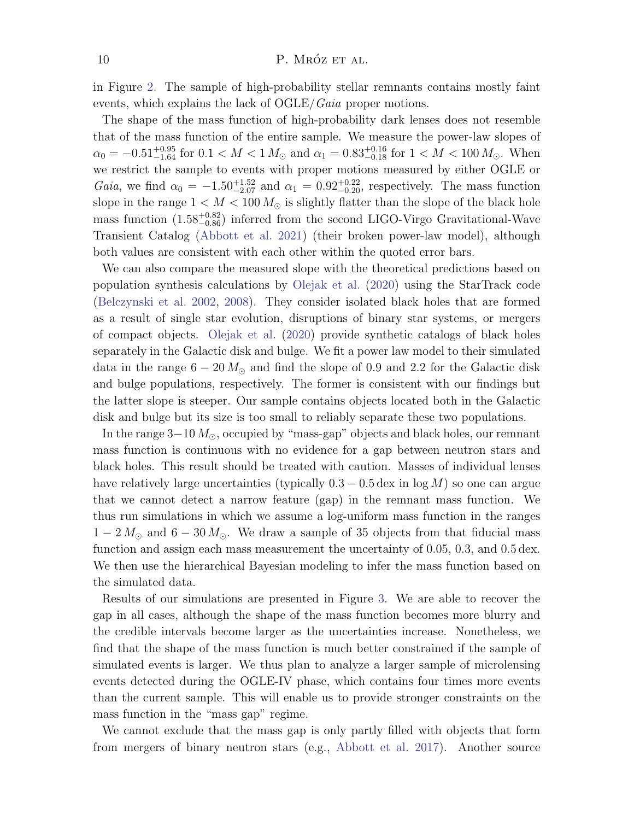in Figure [2.](#page-7-0) The sample of high-probability stellar remnants contains mostly faint events, which explains the lack of  $OGLE/Gaia$  proper motions.

The shape of the mass function of high-probability dark lenses does not resemble that of the mass function of the entire sample. We measure the power-law slopes of  $\alpha_0 = -0.51_{-1.64}^{+0.95}$  for  $0.1 < M < 1 M_{\odot}$  and  $\alpha_1 = 0.83_{-0.18}^{+0.16}$  for  $1 < M < 100 M_{\odot}$ . When we restrict the sample to events with proper motions measured by either OGLE or *Gaia*, we find  $\alpha_0 = -1.50^{+1.52}_{-2.07}$  and  $\alpha_1 = 0.92^{+0.22}_{-0.20}$ , respectively. The mass function slope in the range  $1 < M < 100 M_{\odot}$  is slightly flatter than the slope of the black hole mass function  $(1.58^{+0.82}_{-0.86})$  inferred from the second LIGO-Virgo Gravitational-Wave Transient Catalog [\(Abbott et al.](#page-11-2) [2021\)](#page-11-2) (their broken power-law model), although both values are consistent with each other within the quoted error bars.

We can also compare the measured slope with the theoretical predictions based on population synthesis calculations by [Olejak et al.](#page-12-25) [\(2020\)](#page-12-25) using the StarTrack code [\(Belczynski et al.](#page-11-17) [2002,](#page-11-17) [2008\)](#page-11-18). They consider isolated black holes that are formed as a result of single star evolution, disruptions of binary star systems, or mergers of compact objects. [Olejak et al.](#page-12-25) [\(2020\)](#page-12-25) provide synthetic catalogs of black holes separately in the Galactic disk and bulge. We fit a power law model to their simulated data in the range  $6 - 20 M_{\odot}$  and find the slope of 0.9 and 2.2 for the Galactic disk and bulge populations, respectively. The former is consistent with our findings but the latter slope is steeper. Our sample contains objects located both in the Galactic disk and bulge but its size is too small to reliably separate these two populations.

In the range  $3-10 M_{\odot}$ , occupied by "mass-gap" objects and black holes, our remnant mass function is continuous with no evidence for a gap between neutron stars and black holes. This result should be treated with caution. Masses of individual lenses have relatively large uncertainties (typically  $0.3 - 0.5$  dex in log M) so one can argue that we cannot detect a narrow feature (gap) in the remnant mass function. We thus run simulations in which we assume a log-uniform mass function in the ranges  $1 - 2 M_{\odot}$  and  $6 - 30 M_{\odot}$ . We draw a sample of 35 objects from that fiducial mass function and assign each mass measurement the uncertainty of 0.05, 0.3, and 0.5 dex. We then use the hierarchical Bayesian modeling to infer the mass function based on the simulated data.

Results of our simulations are presented in Figure [3.](#page-10-0) We are able to recover the gap in all cases, although the shape of the mass function becomes more blurry and the credible intervals become larger as the uncertainties increase. Nonetheless, we find that the shape of the mass function is much better constrained if the sample of simulated events is larger. We thus plan to analyze a larger sample of microlensing events detected during the OGLE-IV phase, which contains four times more events than the current sample. This will enable us to provide stronger constraints on the mass function in the "mass gap" regime.

We cannot exclude that the mass gap is only partly filled with objects that form from mergers of binary neutron stars (e.g., [Abbott et al.](#page-11-5) [2017\)](#page-11-5). Another source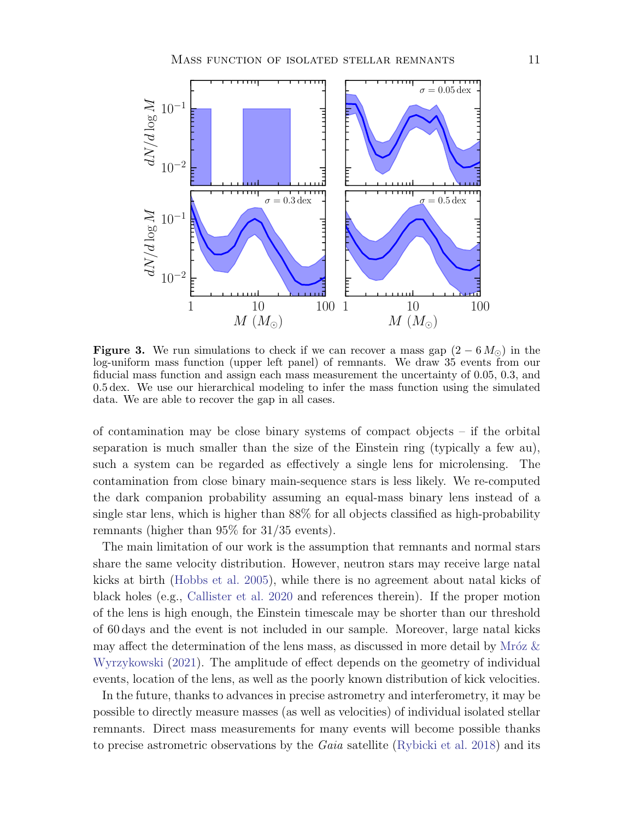

<span id="page-10-0"></span>**Figure 3.** We run simulations to check if we can recover a mass gap  $(2 - 6 M_{\odot})$  in the log-uniform mass function (upper left panel) of remnants. We draw 35 events from our fiducial mass function and assign each mass measurement the uncertainty of 0.05, 0.3, and 0.5 dex. We use our hierarchical modeling to infer the mass function using the simulated data. We are able to recover the gap in all cases.

of contamination may be close binary systems of compact objects – if the orbital separation is much smaller than the size of the Einstein ring (typically a few au), such a system can be regarded as effectively a single lens for microlensing. The contamination from close binary main-sequence stars is less likely. We re-computed the dark companion probability assuming an equal-mass binary lens instead of a single star lens, which is higher than 88% for all objects classified as high-probability remnants (higher than 95% for 31/35 events).

The main limitation of our work is the assumption that remnants and normal stars share the same velocity distribution. However, neutron stars may receive large natal kicks at birth [\(Hobbs et al.](#page-12-26) [2005\)](#page-12-26), while there is no agreement about natal kicks of black holes (e.g., [Callister et al.](#page-11-19) [2020](#page-11-19) and references therein). If the proper motion of the lens is high enough, the Einstein timescale may be shorter than our threshold of 60 days and the event is not included in our sample. Moreover, large natal kicks may affect the determination of the lens mass, as discussed in more detail by Mróz  $\&$ [Wyrzykowski](#page-12-9) [\(2021\)](#page-12-9). The amplitude of effect depends on the geometry of individual events, location of the lens, as well as the poorly known distribution of kick velocities.

In the future, thanks to advances in precise astrometry and interferometry, it may be possible to directly measure masses (as well as velocities) of individual isolated stellar remnants. Direct mass measurements for many events will become possible thanks to precise astrometric observations by the Gaia satellite [\(Rybicki et al.](#page-12-27) [2018\)](#page-12-27) and its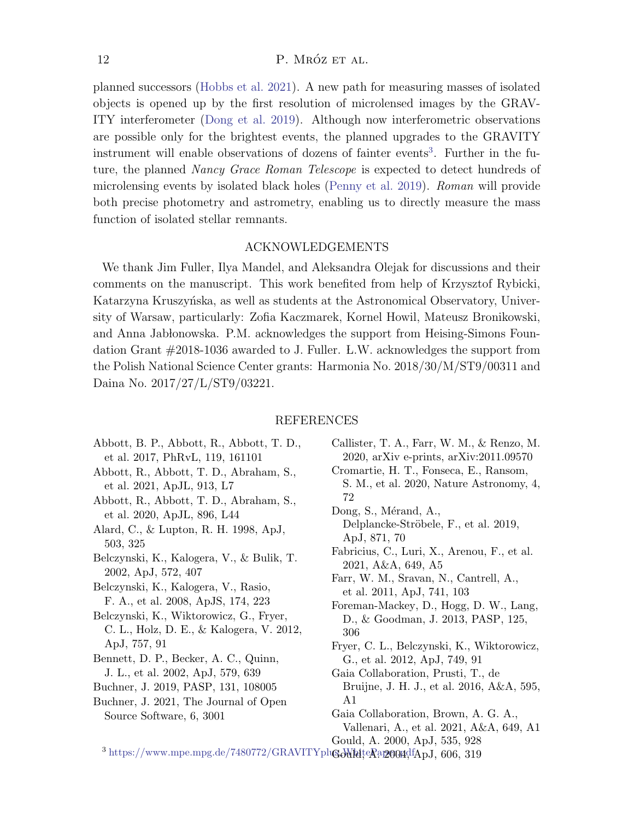## 12 P. MRÓZ ET AL.

planned successors [\(Hobbs et al.](#page-12-28) [2021\)](#page-12-28). A new path for measuring masses of isolated objects is opened up by the first resolution of microlensed images by the GRAV-ITY interferometer [\(Dong et al.](#page-11-20) [2019\)](#page-11-20). Although now interferometric observations are possible only for the brightest events, the planned upgrades to the GRAVITY instrument will enable observations of dozens of fainter events<sup>[3](#page-11-21)</sup>. Further in the future, the planned Nancy Grace Roman Telescope is expected to detect hundreds of microlensing events by isolated black holes [\(Penny et al.](#page-12-29) [2019\)](#page-12-29). Roman will provide both precise photometry and astrometry, enabling us to directly measure the mass function of isolated stellar remnants.

## ACKNOWLEDGEMENTS

We thank Jim Fuller, Ilya Mandel, and Aleksandra Olejak for discussions and their comments on the manuscript. This work benefited from help of Krzysztof Rybicki, Katarzyna Kruszyńska, as well as students at the Astronomical Observatory, University of Warsaw, particularly: Zofia Kaczmarek, Kornel Howil, Mateusz Bronikowski, and Anna Jab lonowska. P.M. acknowledges the support from Heising-Simons Foundation Grant #2018-1036 awarded to J. Fuller. L.W. acknowledges the support from the Polish National Science Center grants: Harmonia No. 2018/30/M/ST9/00311 and Daina No. 2017/27/L/ST9/03221.

#### REFERENCES

- <span id="page-11-5"></span>Abbott, B. P., Abbott, R., Abbott, T. D., et al. 2017, PhRvL, 119, 161101
- <span id="page-11-2"></span>Abbott, R., Abbott, T. D., Abraham, S., et al. 2021, ApJL, 913, L7
- <span id="page-11-6"></span>Abbott, R., Abbott, T. D., Abraham, S., et al. 2020, ApJL, 896, L44
- <span id="page-11-10"></span>Alard, C., & Lupton, R. H. 1998, ApJ, 503, 325
- <span id="page-11-17"></span>Belczynski, K., Kalogera, V., & Bulik, T. 2002, ApJ, 572, 407

<span id="page-11-18"></span>Belczynski, K., Kalogera, V., Rasio, F. A., et al. 2008, ApJS, 174, 223

- <span id="page-11-3"></span>Belczynski, K., Wiktorowicz, G., Fryer, C. L., Holz, D. E., & Kalogera, V. 2012, ApJ, 757, 91
- <span id="page-11-8"></span>Bennett, D. P., Becker, A. C., Quinn, J. L., et al. 2002, ApJ, 579, 639
- <span id="page-11-14"></span>Buchner, J. 2019, PASP, 131, 108005
- <span id="page-11-15"></span>Buchner, J. 2021, The Journal of Open Source Software, 6, 3001
- <span id="page-11-19"></span>Callister, T. A., Farr, W. M., & Renzo, M. 2020, arXiv e-prints, arXiv:2011.09570 Cromartie, H. T., Fonseca, E., Ransom,
- <span id="page-11-0"></span>S. M., et al. 2020, Nature Astronomy, 4, 72
- <span id="page-11-20"></span>Dong, S., Mérand, A., Delplancke-Ströbele, F., et al. 2019, ApJ, 871, 70
- <span id="page-11-13"></span>Fabricius, C., Luri, X., Arenou, F., et al. 2021, A&A, 649, A5

<span id="page-11-1"></span>Farr, W. M., Sravan, N., Cantrell, A., et al. 2011, ApJ, 741, 103

- <span id="page-11-16"></span>Foreman-Mackey, D., Hogg, D. W., Lang, D., & Goodman, J. 2013, PASP, 125, 306
- <span id="page-11-4"></span>Fryer, C. L., Belczynski, K., Wiktorowicz, G., et al. 2012, ApJ, 749, 91
- <span id="page-11-11"></span>Gaia Collaboration, Prusti, T., de Bruijne, J. H. J., et al. 2016, A&A, 595, A1
- <span id="page-11-12"></span>Gaia Collaboration, Brown, A. G. A., Vallenari, A., et al. 2021, A&A, 649, A1

<span id="page-11-9"></span><span id="page-11-7"></span>Gould, A. 2000, ApJ, 535, 928

<span id="page-11-21"></span> $^3$  https://www.mpe.mpg.de/7480772/GRAVITYplug WhiteRapeondfApJ, 606, 319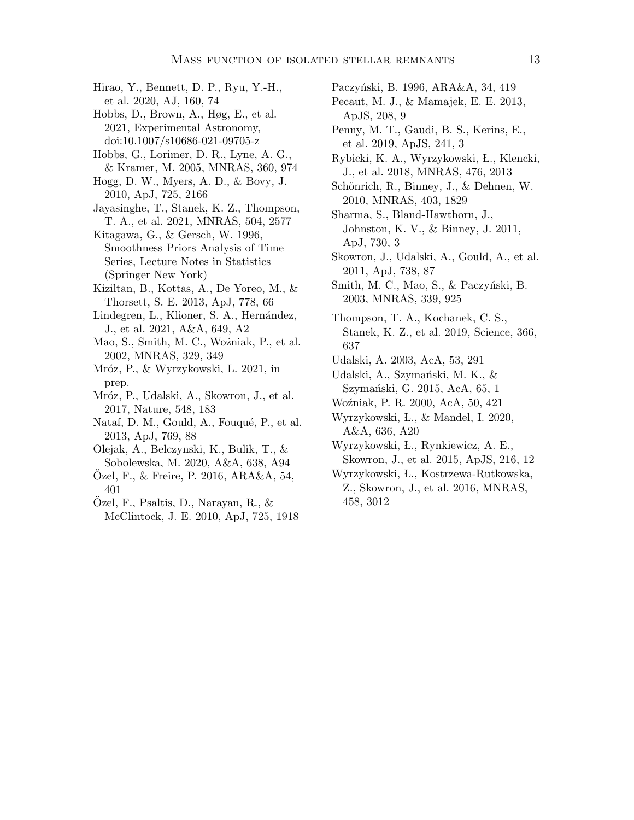- <span id="page-12-16"></span>Hirao, Y., Bennett, D. P., Ryu, Y.-H., et al. 2020, AJ, 160, 74
- <span id="page-12-28"></span>Hobbs, D., Brown, A., Høg, E., et al. 2021, Experimental Astronomy, doi:10.1007/s10686-021-09705-z
- <span id="page-12-26"></span>Hobbs, G., Lorimer, D. R., Lyne, A. G., & Kramer, M. 2005, MNRAS, 360, 974
- <span id="page-12-23"></span>Hogg, D. W., Myers, A. D., & Bovy, J. 2010, ApJ, 725, 2166
- <span id="page-12-4"></span>Jayasinghe, T., Stanek, K. Z., Thompson, T. A., et al. 2021, MNRAS, 504, 2577

<span id="page-12-24"></span>Kitagawa, G., & Gersch, W. 1996, Smoothness Priors Analysis of Time Series, Lecture Notes in Statistics (Springer New York)

- <span id="page-12-1"></span>Kiziltan, B., Kottas, A., De Yoreo, M., & Thorsett, S. E. 2013, ApJ, 778, 66
- <span id="page-12-18"></span>Lindegren, L., Klioner, S. A., Hernández, J., et al. 2021, A&A, 649, A2
- <span id="page-12-6"></span>Mao, S., Smith, M. C., Woźniak, P., et al. 2002, MNRAS, 329, 349
- <span id="page-12-9"></span>Mróz, P., & Wyrzykowski, L. 2021, in prep.
- <span id="page-12-12"></span>Mróz, P., Udalski, A., Skowron, J., et al. 2017, Nature, 548, 183
- <span id="page-12-21"></span>Nataf, D. M., Gould, A., Fouqué, P., et al. 2013, ApJ, 769, 88
- <span id="page-12-25"></span>Olejak, A., Belczynski, K., Bulik, T., & Sobolewska, M. 2020, A&A, 638, A94
- <span id="page-12-0"></span>Ozel, F.,  $\&$  Freire, P. 2016, ARA $\&$ A, 54, 401
- <span id="page-12-2"></span>Ozel, F., Psaltis, D., Narayan, R., & ¨ McClintock, J. E. 2010, ApJ, 725, 1918

<span id="page-12-5"></span>Paczyński, B. 1996, ARA&A, 34, 419

- <span id="page-12-20"></span>Pecaut, M. J., & Mamajek, E. E. 2013, ApJS, 208, 9
- <span id="page-12-29"></span>Penny, M. T., Gaudi, B. S., Kerins, E., et al. 2019, ApJS, 241, 3
- <span id="page-12-27"></span>Rybicki, K. A., Wyrzykowski, L., Klencki, J., et al. 2018, MNRAS, 476, 2013
- <span id="page-12-19"></span>Schönrich, R., Binney, J., & Dehnen, W. 2010, MNRAS, 403, 1829
- <span id="page-12-22"></span>Sharma, S., Bland-Hawthorn, J., Johnston, K. V., & Binney, J. 2011, ApJ, 730, 3
- <span id="page-12-14"></span>Skowron, J., Udalski, A., Gould, A., et al. 2011, ApJ, 738, 87
- <span id="page-12-13"></span>Smith, M. C., Mao, S., & Paczyński, B. 2003, MNRAS, 339, 925
- <span id="page-12-3"></span>Thompson, T. A., Kochanek, C. S., Stanek, K. Z., et al. 2019, Science, 366, 637
- <span id="page-12-10"></span>Udalski, A. 2003, AcA, 53, 291
- <span id="page-12-17"></span>Udalski, A., Szymański, M. K., & Szymański, G. 2015, AcA, 65, 1
- <span id="page-12-15"></span>Wo´zniak, P. R. 2000, AcA, 50, 421
- <span id="page-12-8"></span>Wyrzykowski, L., & Mandel, I. 2020, A&A, 636, A20
- <span id="page-12-11"></span>Wyrzykowski, L., Rynkiewicz, A. E.,
- Skowron, J., et al. 2015, ApJS, 216, 12
- <span id="page-12-7"></span>Wyrzykowski, L., Kostrzewa-Rutkowska, Z., Skowron, J., et al. 2016, MNRAS, 458, 3012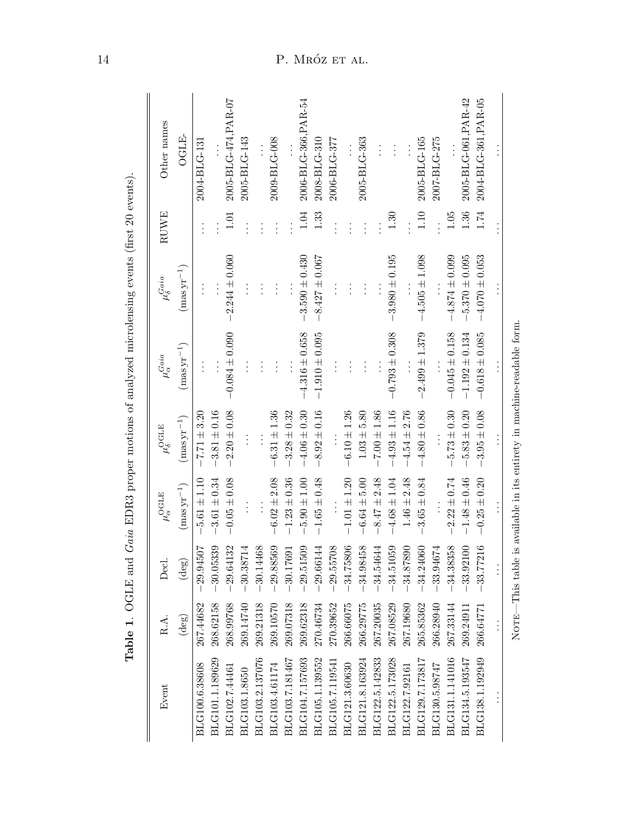| Event           | R.A.           | Decl.           | $\mu_\alpha^{\rm OGLE}$ | $\mu_{\delta}^{\rm OGLE}$ | $\mu_{\alpha}^{Gaia}$                                                  | $\mu_{\delta}^{Gaia}$ | RUWE     | Other names          |
|-----------------|----------------|-----------------|-------------------------|---------------------------|------------------------------------------------------------------------|-----------------------|----------|----------------------|
|                 | $(\text{deg})$ | $(\text{deg})$  | $(masyr^{-1})$          | $(masyr^{-1})$            | $(masyr^{-1})$                                                         | $(masyr^{-1})$        |          | <b>OGLE</b>          |
| BLG100.6.38608  | 267.44682      | レ<br>$-29.9450$ | $-5.61 \pm 1.10$        | $-7.71 \pm 3.20$          | $\vdots$                                                               | $\vdots$              | $\vdots$ | 2004-BLG-131         |
| BLG101.1.189629 | 268.62158      | $-30.0533$      | $3.61 \pm 0.34$         | $3.81 \pm 0.16$           |                                                                        |                       |          |                      |
| BLG102.7.44461  | 268.99768      | $-29.6413$      | $-0.05 \pm 0.08$        | $2.20 \pm 0.08$           | $-0.084 \pm 0.090$                                                     | $2.244 \pm 0.060$     | 1.01     | 2005-BLG-474, PAR-07 |
| BLG103.1.8650   | 269.14740      | $-30.3871$      |                         |                           | $\vdots$                                                               |                       |          | 2005-BLG-143         |
| BLG103.2.137076 | 269.21318      | -30.14468       |                         |                           | $\vdots$                                                               | $\vdots$              |          |                      |
| BLG103.4.61174  | 269.10570      | $-29.88569$     | $-6.02 \pm 2.08$        | $-6.31 \pm 1.36$          | $\vdots$                                                               | $\vdots$              |          | 2009-BLG-008         |
| BLG103.7.181467 | 269.07318      | $-30.1769$      | $-1.23 \pm 0.36$        | $-3.28 \pm 0.32$          |                                                                        |                       |          |                      |
| BLG104.7.157693 | 269.62318      | ⊙<br>$-29.5150$ | $5.90 \pm 1.00$         | $-4.06 \pm 0.30$          | $-4.316 \pm 0.658$                                                     | $3.590 \pm 0.430$     | 1.04     | 2006-BLG-366, PAR-54 |
| BLG105.1.139552 | 270.46734      | $-29.6614$      | $-1.65 \pm 0.48$        | $-8.92 \pm 0.16$          | $-1.910 \pm 0.095$                                                     | $-8.427 \pm 0.067$    | 1.33     | 2008-BLG-310         |
| BLG105.7.119541 | 270.39652      | ஜ<br>$-29.5570$ |                         |                           |                                                                        |                       |          | 2006-BLG-377         |
| BLG121.3.60630  | 266.66075      | $-34.75806$     | $-1.01 \pm 1.20$        | $-6.10 \pm 1.26$          | $\vdots$                                                               | $\vdots$              |          |                      |
| BLG121.8.163924 | 266.29775      | ୁ<br>$-34.9845$ | $-6.64 \pm 5.00$        | $1.03 \pm 5.80$           | $\vdots$                                                               | $\vdots$              |          | 2005-BLG-363         |
| BLG122.5.142833 | 267.20035      | $-34.5464$      | $-8.47 \pm 2.48$        | $-7.00 \pm 1.86$          |                                                                        |                       |          |                      |
| BLG122.5.173028 | 267.08529      | $-34.51059$     | $-4.68 \pm 1.04$        | $-4.93 \pm 1.16$          | $-0.793 \pm 0.308$                                                     | $-3.980 \pm 0.195$    | 1.30     |                      |
| BLG122.7.92161  | 267.19680      | $-34.87890$     | $1.46 \pm 2.48$         | $-4.54 \pm 2.76$          |                                                                        |                       |          |                      |
| BLG129.7.173817 | 265.85362      | $-34.24060$     | $3.65 \pm 0.84$         | $-4.80 \pm 0.86$          | $-2.499 \pm 1.379$                                                     | $-4.505 \pm 1.098$    | 1.10     | 2005-BLG-165         |
| BLG130.5.98747  | 266.28940      | $-33.94674$     |                         |                           |                                                                        |                       |          | 2007-BLG-275         |
| BLG131.1.141016 | 267.33144      | $-34.38358$     | $2.22 \pm 0.74$         | $-5.73 \pm 0.30$          | $-0.045 \pm 0.158$                                                     | $-4.874 \pm 0.099$    | $1.05\,$ |                      |
| BLG134.5.193547 | 269.24911      | 0<br>$-33.9210$ | $-1.48 \pm 0.46$        | $-5.83 \pm 0.20$          | $-1.192 \pm 0.134$                                                     | $-5.370 \pm 0.095$    | 1.36     | 2005-BLG-061, PAR-42 |
| BLG138.1.192949 | 266.64771      | అ<br>$-33.7721$ | $-0.25 \pm 0.20$        | $-3.95 \pm 0.08$          | $-0.618 \pm 0.085$                                                     | $-4.070 \pm 0.053$    | 1.74     | 2004-BLG-361, PAR-05 |
|                 |                |                 |                         |                           |                                                                        |                       |          |                      |
|                 |                |                 |                         |                           | NOTE—This table is available in its entirety in machine-readable form. |                       |          |                      |

<span id="page-13-0"></span>Table 1. OGLE and Gaia EDR3 proper motions of analyzed microlensing events (first 20 events). Table 1. OGLE and Gaia EDR3 proper motions of analyzed microlensing events (first 20 events).

# 14 P. MRÓZ ET AL.